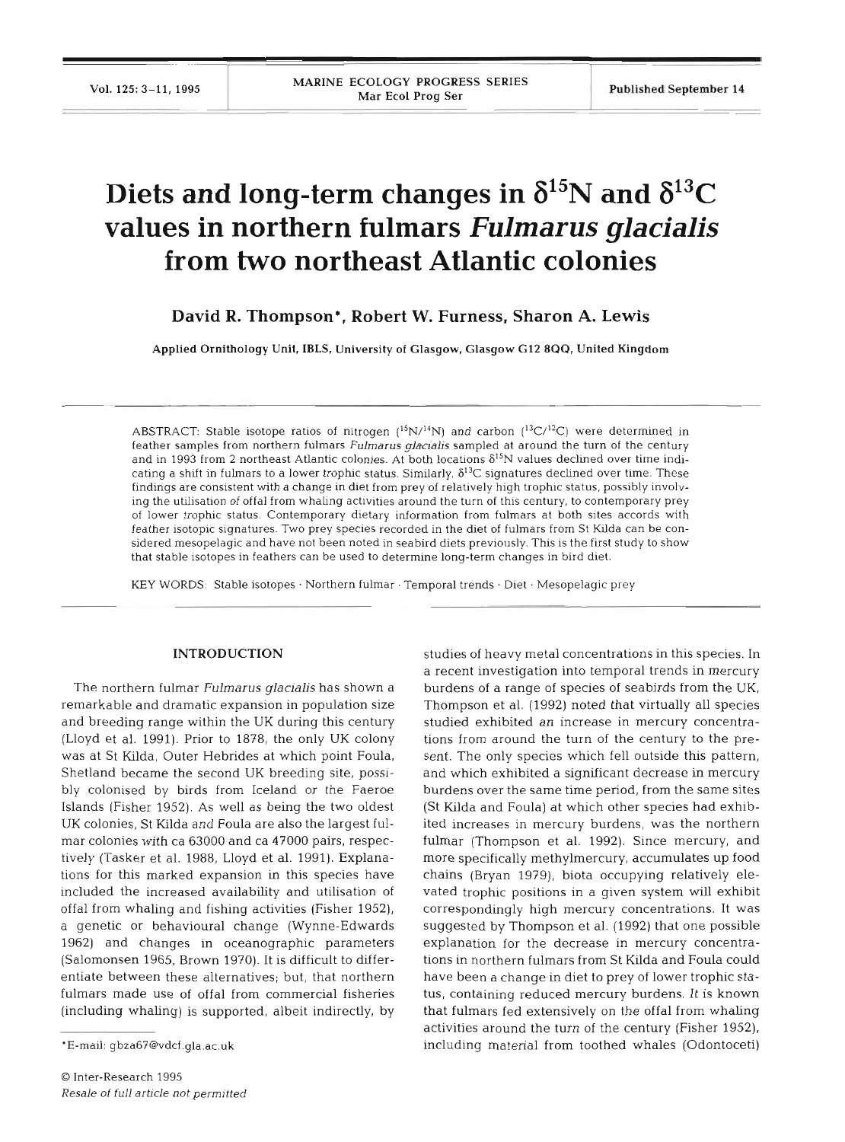# Diets and long-term changes in  $\delta^{15}N$  and  $\delta^{13}C$ **values in northern fulmars** *Fulmarus glacialis*  **from two northeast Atlantic colonies**

**David R. Thompson\*, Robert W. Furness, Sharon A. Lewis** 

Applied Ornithology Unit. IBLS, University **of** Glasgow, Glasgow G12 800, United Kingdom

ABSTRACT: Stable isotope ratios of nitrogen **(15N/14N)** and carbon **(I3C/l2C)** were determined in feather samples from northern fulmars *Fulmarus glacialis* sampled at around the turn of the century and in 1993 from **2** northeast Atlantic colonies. At both locabons **6I5N** values decllned over time indicating a shift in fulmars to a lower trophic status. Similarly,  $\delta^{13}C$  signatures declined over time. These findings are consistent with a change in diet from prey of relatively high trophic status, posslbly involving the utilisation of offal from whaling activities around the turn of this century, to contemporary prey of lower trophic status. Contemporary dietary information from fulmars at both sites accords with feather isotopic signatures. Two prey species recorded in the diet of fulmars from St Kilda can be considered mesopelagic and have not been noted in seabird diets previously. This is the first study to show that stable isotopes in feathers can be used to determine long-term changes in bird diet.

KEY WORDS: Stable isotopes · Northern fulmar · Temporal trends · Diet · Mesopelagic prey

#### **INTRODUCTION**

The northern fulmar *Fulmarus glacialis* has shown a remarkable and dramatic expansion in population size and breeding range within the UK during this century (Lloyd et al. 1991). Prior to 1878, the only UK colony was at St Kilda, Outer Hebrides at which point Foula, Shetland became the second UK breeding site, possibly colonised by birds from Iceland or the Faeroe Islands (Fisher 1952). As well as being the two oldest UK colonies, St Kilda and Foula are also the largest fulmar colonies with ca 63000 and ca 47000 pairs, respectively (Tasker et al. 1988, Lloyd et al. 1991). Explanations for this marked expansion in this species have included the increased availability and utilisation of offal from whaling and fishing activities (Fisher 1952), a genetic or behavioural change (Wynne-Edwards 1962) and changes in oceanographic parameters (Salomonsen 1965, Brown 1970). It is difficult to differentiate between these alternatives; but, that northern fulmars made use of offal from commercial fisheries (including whaling) is supported, albeit indirectly, by

studies of heavy metal concentrations in this species. In a recent investigation into temporal trends in mercury burdens of a range of species of seabirds from the UK, Thompson et al. (1992) noted that virtually all species studied exhibited an increase in mercury concentrations from around the turn of the century to the present. The only species which fell outside this pattern, and which exhibited a significant decrease in mercury burdens over the same time period, from the same sites (St Kilda and Foula) at which other species had exhibited increases in mercury burdens, was the northern fulmar (Thompson et al. 1992). Since mercury, and more specifically methylmercury, accumulates up food chains (Bryan 1979), biota occupying relatively elevated trophic positions in a given system will exhibit correspondingly high mercury concentrations. It was suggested by Thompson et al. (1992) that one possible explanation for the decrease in mercury concentrations in northern fulmars from St Kilda and Foula could have been a change in diet to prey of lower trophic status, containing reduced mercury burdens. It is known that fulmars fed extensively on the offal from whaling activities around the turn of the century (Fisher 1952), including material from toothed whales (Odontoceti)

<sup>\*</sup>E-mail: gbza67@vdcf.gla.ac.uk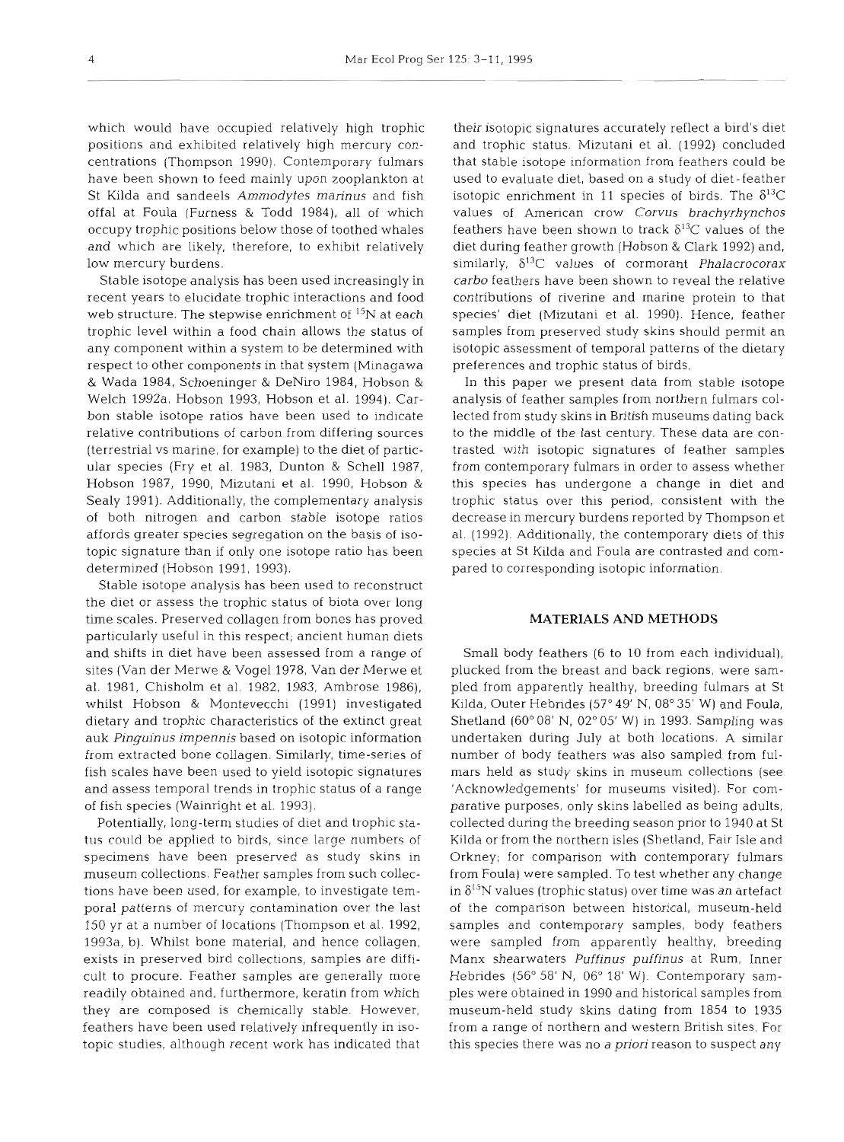which would have occupied relatively high trophic positions and exhibited relatively high mercury concentrations (Thompson 1990). Contemporary fulmars have been shown to feed mainly upon zooplankton at St Kilda and sandeels Ammodytes marinus and fish offal at Foula (Furness & Todd 1984), all of which occupy trophic positions below those of toothed whales and which are likely, therefore, to exhibit relatively low mercury burdens.

Stable isotope analysis has been used increasingly in recent years to elucidate trophic interactions and food web structure. The stepwise enrichment of  $15N$  at each trophic level within a food chain allows the status of any component within a system to be determined with respect to other components in that system (Minagawa & Wada 1984, Schoeninger & DeNiro 1984, Hobson & Welch 1992a, Hobson 1993, Hobson et al. 1994). Carbon stable isotope ratios have been used to indicate relative contributions of carbon from differing sources (terrestrial vs marine, for example) to the diet of particular species (Fry et al. 1983, Dunton & Schell 1987, Hobson 1987, 1990, Mizutani et al. 1990, Hobson & Sealy 1991). Additionally, the complementary analysis of both nitrogen and carbon stable isotope ratios affords greater species segregation on the basis of isotopic signature than if only one isotope ratio has been determined (Hobson 1991, 1993).

Stable isotope analysis has been used to reconstruct the diet or assess the trophic status of biota over long time scales. Preserved collagen from bones has proved particularly useful in this respect; ancient human diets and shifts in diet have been assessed from a range of sites (Van der Merwe & Vogel 1978, Van der Merwe et al. 1981, Chisholm et al. 1982, 1983, Ambrose 1986), whilst Hobson & Montevecchi (1991) investigated dietary and trophic characteristics of the extinct great auk Pinguinus impennis based on isotopic information from extracted bone collagen. Similarly, time-series of fish scales have been used to yield isotopic signatures and assess temporal trends in trophic status of a range of fish species (Wainright et al. 1993).

Potentially, long-term studies of diet and trophic status could be applied to birds, since large numbers of specimens have been preserved as study skins in museum collections. Feather samples from such collections have been used, for example, to investigate temporal patterns of mercury contamination over the last 150 yr at a number of locations (Thompson et al. 1992, 1993a, b). Whilst bone material, and hence collagen, exists in preserved bird collections, samples are difficult to procure. Feather samples are generally more readily obtained and, furthermore, keratin from which they are composed is chemically stable. However, feathers have been used relatively infrequently in lsotopic studies, although recent work has indicated that

their isotopic signatures accurately reflect a bird's diet and trophic status. Mizutani et al. (1992) concluded that stable isotope information from feathers could be used to evaluate diet, based on a study of diet-feather isotopic enrichment in 11 species of birds. The  $\delta^{13}C$ values of Amencan crow Corvus brachyrhynchos feathers have been shown to track  $\delta^{13}C$  values of the diet during feather growth (Hobson & Clark 1992) and, similarly,  $\delta^{13}$ C values of cormorant *Phalacrocorax* carbo feathers have been shown to reveal the relative contributions of riverine and marine protein to that species' diet (Mizutani et al. 1990). Hence, feather samples from preserved study skins should permit an isotopic assessment of temporal patterns of the dietary preferences and trophic status of birds.

In this paper we present data from stable isotope analysis of feather samples from northern fulmars collected from study skins in British museums dating back to the middle of the last century. These data are contrasted with isotopic signatures of feather samples from contemporary fulmars in order to assess whether this species has undergone a change in diet and trophic status over this period, consistent with the decrease in mercury burdens reported by Thompson et al. (1992). Additionally, the contemporary diets of this species at St Kilda and Foula are contrasted and compared to corresponding isotopic information.

## **MATERIALS AND METHODS**

Small body feathers (6 to 10 from each individual), plucked from the breast and back regions, were sampled from apparently healthy, breeding fulmars at St Kilda, Outer Hebrides (57° 49' N, 08° 35' W) and Foula, Shetland (60" 08' N, 02" 05' W) in 1993. Sampling was undertaken during July at both locations. A similar number of body feathers was also sampled from fulmars held as study skins in museum collections (see 'Acknowledgements' for museums visited). For comparative purposes, only skins labelled as being adults, collected during the breeding season prior to 1940 at St Kilda or from the northern isles (Shetland, Fair Isle and Orkney; for comparison with contemporary fulmars from Foula) were sampled. To test whether any change in  $\delta^{15}$ N values (trophic status) over time was an artefact of the companson between historical, museum-held samples and contemporary samples, body feathers were sampled from apparently healthy, breeding Manx shearwaters Puffinus puffinus at Rum, Inner Hebrides (56" 58' N, 06" 18' W). Contemporary samples were obtained in 1990 and historical samples from museum-held study skins dating from 1854 to 1935 from a range of northern and western British sites. For this species there was no a priori reason to suspect any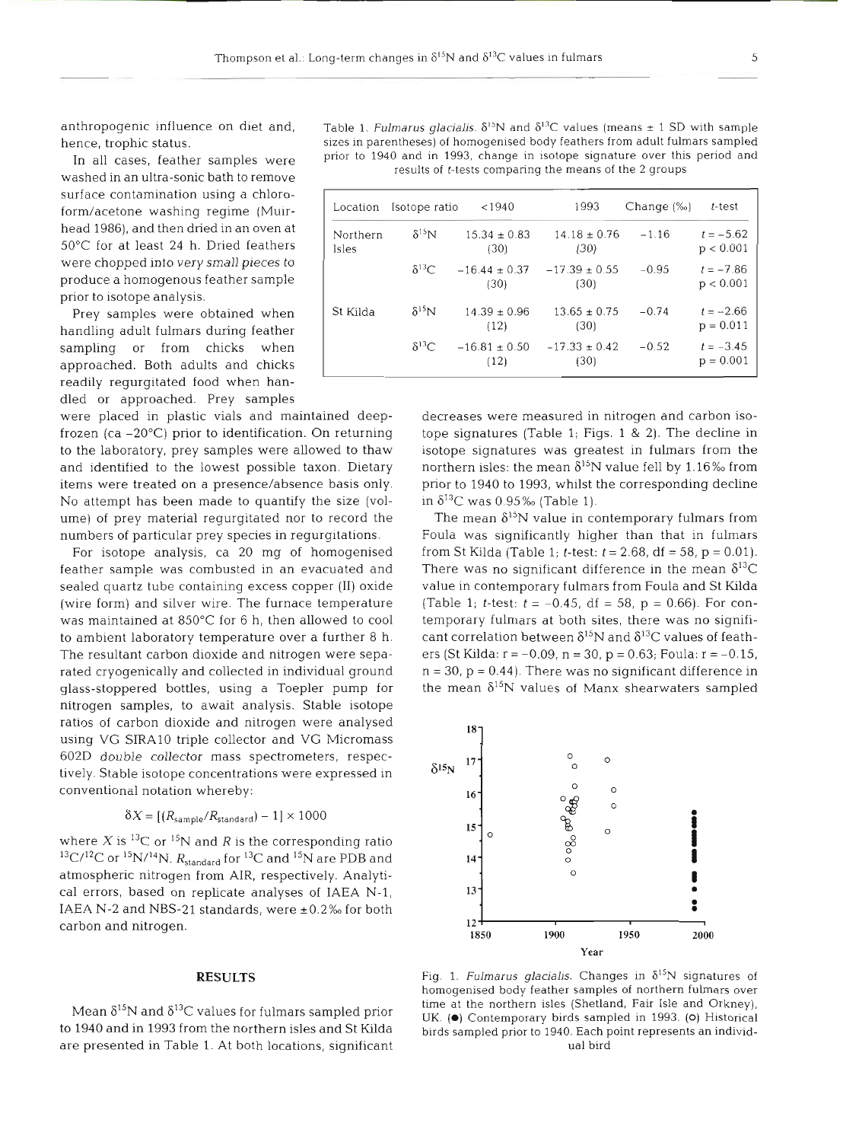washed in an ultra-sonic bath to remove surface contamination using a chloroform/acetone washing regime (Muirhead 1986), and then dried in an oven at 50°C for at least 24 h. Dried feathers were chopped into very small pieces to produce a homogenous feather sample prior to isotope analysis.

Prey samples were obtained when handling adult fulmars during feather sampling or from chicks when approached. Both adults and chicks readily regurgitated food when handled or approached. Prey samples

were placed in plastic vials and maintained deepfrozen (ca  $-20^{\circ}$ C) prior to identification. On returning to the laboratory, prey samples were allowed to thaw and identified to the lowest possible taxon. Dietary items were treated on a presence/absence basis only. No attempt has been made to quantify the size (volume) of prey material regurgitated nor to record the numbers of particular prey species in regurgitations.

For isotope analysis, ca 20 mg of homogenised feather sample was combusted in an evacuated and sealed quartz tube containing excess copper (11) oxide (wire form) and silver wire. The furnace temperature was maintained at 850°C for 6 h, then allowed to cool to ambient laboratory temperature over a further 8 h. The resultant carbon dioxide and nitrogen were separated cryogenically and collected in individual ground glass-stoppered bottles, using a Toepler pump for nitrogen samples, to await analysis. Stable isotope ratios of carbon dioxide and nitrogen were analysed using VG SIRAlO triple collector and VG Micromass 602D double collector mass spectrometers, respectively. Stable isotope concentrations were expressed in conventional notation whereby:

$$
\delta X = \left[ \left( R_{\text{sample}} / R_{\text{standard}} \right) - 1 \right] \times 1000
$$

where X is <sup>13</sup>C or <sup>15</sup>N and R is the corresponding ratio  $13^1$ C/l<sup>2</sup>C or  $15^1$ N/l<sup>4</sup>N.  $R_{standard}$  for  $13^1$ C and  $15^1$ N are PDB and atmospheric nitrogen from AIR, respectively. Analytical errors, based on replicate analyses of IAEA N-l, IAEA N-2 and NBS-21 standards, were  $\pm$  0.2% for both carbon and nitrogen.

#### **RESULTS**

are presented in Table 1. At both locations, significant under the unit of the ual bird

anthropogenic influence on diet and, Table 1. *Fulmarus glacialis*.  $\delta^{15}N$  and  $\delta^{13}C$  values (means  $\pm$  1 SD with sample hence, trophic status. sizes in parentheses) of homogenised body feathers from adult fulmars sampled In all cases, feather samples were prior to 1940 and in 1993, change in isotope signature over this period and results of t-tests comparing the means of the 2 groups

| Location                 | Isotope ratio  | < 1940                    | 1993                      | Change (‰) | t-test                     |
|--------------------------|----------------|---------------------------|---------------------------|------------|----------------------------|
| Northern<br><b>Isles</b> | $\delta^{15}N$ | $15.34 \pm 0.83$<br>(30)  | $14.18 \pm 0.76$<br>(30)  | $-1.16$    | $t = -5.62$<br>p < 0.001   |
|                          | $\delta^{13}C$ | $-16.44 \pm 0.37$<br>(30) | $-17.39 \pm 0.55$<br>(30) | $-0.95$    | $t = -7.86$<br>p < 0.001   |
| St Kilda                 | $\delta^{15}N$ | $14.39 \pm 0.96$<br>(12)  | $13.65 \pm 0.75$<br>(30)  | $-0.74$    | $t = -2.66$<br>$p = 0.011$ |
|                          | $\delta^{13}C$ | $-16.81 \pm 0.50$<br>(12) | $-17.33 \pm 0.42$<br>(30) | $-0.52$    | $t = -3.45$<br>$p = 0.001$ |

decreases were measured in nitrogen and carbon isotope signatures (Table 1; Figs. 1 & 2). The decline in isotope signatures was greatest in fulmars from the northern isles: the mean  $\delta^{15}N$  value fell by 1.16% from prior to 1940 to 1993, whilst the corresponding decline in  $\delta^{13}$ C was 0.95% (Table 1).

The mean  $\delta^{15}N$  value in contemporary fulmars from Foula was significantly higher than that in fulmars from St Kilda (Table 1; *t*-test:  $t = 2.68$ , df = 58, p = 0.01). There was no significant difference in the mean  $\delta^{13}C$ value in contemporary fulmars from Foula and St Kilda (Table 1; *t*-test:  $t = -0.45$ , df = 58, p = 0.66). For contemporary fulmars at both sites, there was no significant correlation between  $\delta^{15}N$  and  $\delta^{13}C$  values of feathers (St Kilda:  $r = -0.09$ ,  $n = 30$ ,  $p = 0.63$ ; Foula:  $r = -0.15$ ,  $n = 30$ ,  $p = 0.44$ ). There was no significant difference in the mean  $\delta^{15}N$  values of Manx shearwaters sampled



Fig. 1. *Fulmarus glacialis*. Changes in  $\delta^{15}N$  signatures of homogenised body feather samples of northern fulmars over time at the northern isles (Shetland, Fair Isle and Orkney), Mean  $\delta^{15}$ N and  $\delta^{13}$ C values for fulmars sampled prior<br>to 1940 and in 1993 from the northern isles and St Kilda birds sampled prior to 1940. Each point represents an individbirds sampled prior to 1940. Each point represents an individ-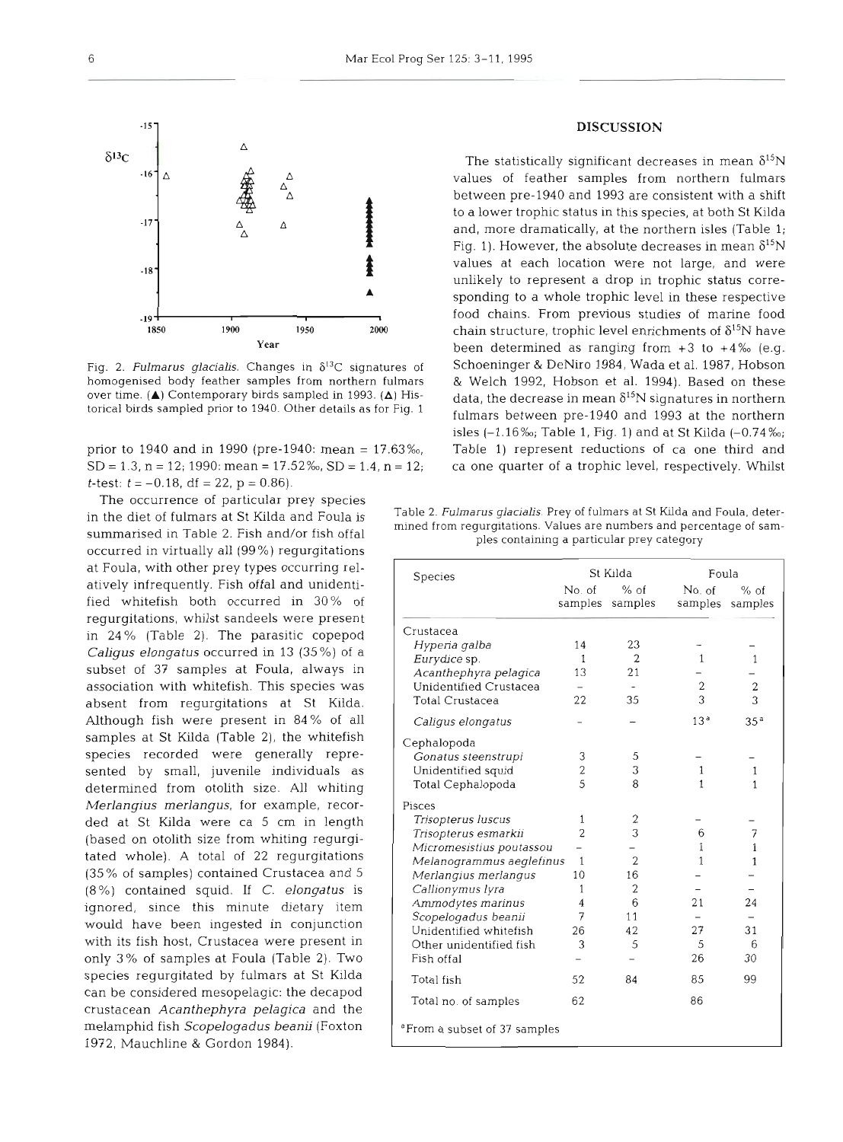

*t*-test:  $t = -0.18$ , df = 22, p = 0.86).

The occurrence of particular prey species<br>the diet of fulmars at St Kilda and Foula is Table 2. Fulmarus glacialis. Prey of fulmars at St Kilda and Foula, deteroccurred in virtually all (99 %) regurgitations at Foula, with other prey types occurring relatively infrequently. Fish offal and unidentified whitefish both occurred in 30% of regurgitations, whilst sandeels were present in 24% (Table 2). The parasitic copepod Caligus elongatus occurred in 13 (35%) of a subset of 37 samples at Foula, always in association with whitefish. This species was absent from regurgitations at St Kilda. Although fish were present in 84% of all samples at St Kilda (Table 2), the whitefish species recorded were generally represented by small, juvenile individuals as determined from otolith size. All whiting Merlangius merlangus, for example, recorded at St Kilda were ca 5 cm in length (based on otolith size from whiting regurgitated whole). **A** total of 22 regurgitations (35 % of samples) contained Crustacea and 5 (8%) contained squid. If C. elongatus is ignored, since this minute dietary item would have been ingested in conjunction with its fish host, Crustacea were present in only 3% of samples at Foula (Table **2).** Two species regurgitated by fulmars at St Kilda can be considered mesopelagic: the decapod crustacean Acanthephyra pelagica and the melamphid fish Scopelogadus beanii (Foxton 1972, Mauchline & Gordon 1984).

### **DISCUSSION**

The statistically significant decreases in mean  $\delta^{15}N$ values of feather samples from northern fulmars between pre-1940 and 1993 are consistent with a shift<br>to a lower trophic status in this species, at both St Kilda<br>and, more dramatically, at the northern isles (Table 1;<br>Fig. 1). However, the absolute decreases in mean  $\$ **<sup>i</sup>**values at each location were not large, and were unlikely to represent a drop in trophic status corre-**<sup>A</sup>**sponding to a whole trophic level in these respective **<sup>I</sup>**food chains. From previous studies of marine food 1900 1950 **2000** chain structure, trophic level enrichments of  $\delta^{15}N$  have been determined as ranging from  $+3$  to  $+4\%$  (e.g. Fig. 2. Fulmarus glacialis. Changes in  $\delta^{13}C$  signatures of Schoeninger & DeNiro 1984, Wada et al. 1987, Hobson homogenised body feather samples from northern fulmars & Welch 1992, Hobson et al. 1994). Based on these over time. (A) Contemporary birds sampled in 1993. ( $\triangle$ ) His-data, the decrease in mean  $\delta^{15}$ N signatures in northern torical birds sampled prior to 1940. Other details as for Fig. 1 fullmars between pre-1940 and 1993 isles (-1.16‰; Table 1, Fig. 1) and at St Kilda (-0.74‰; prior to 1940 and in 1990 (pre-1940: mean  $= 17.63\%$ , Table 1) represent reductions of ca one third and  $SD = 1.3$ ,  $n = 12$ ; 1990: mean = 17.52%,  $SD = 1.4$ ,  $n = 12$ ; ca one quarter of a trophic level, respectively. Whilst

in the diet of fulmars at St Kilda and Foula is<br>summarised in Table 2. Fish and/or fish offal<br>mined from regurgitations. Values are numbers and percentage of sam-<br>percentaging a particular proud procedure to the content of ples containing a particular prey category

| Species                  | St Kilda                 |                   | Foula             |                         |
|--------------------------|--------------------------|-------------------|-------------------|-------------------------|
|                          | No. of<br>samples        | $%$ of<br>samples | No. of<br>samples | $%$ of<br>samples       |
| Crustacea                |                          |                   |                   |                         |
| Hyperia galba            | 14                       | 23                |                   |                         |
| Eurydice sp.             | 1                        | $\overline{2}$    | 1                 | 1                       |
| Acanthephyra pelagica    | 13                       | 21                |                   |                         |
| Unidentified Crustacea   |                          |                   | $\overline{c}$    | $\overline{\mathbf{c}}$ |
| <b>Total Crustacea</b>   | 22                       | 35                | 3                 | $\overline{3}$          |
| Caligus elongatus        |                          |                   | 13 <sup>a</sup>   | 35 <sup>a</sup>         |
| Cephalopoda              |                          |                   |                   |                         |
| Gonatus steenstrupi      | 3                        | 5                 |                   |                         |
| Unidentified squid       | $\overline{\mathcal{L}}$ | 3                 | $\mathbf{1}$      | 1                       |
| Total Cephalopoda        | 5                        | 8                 | 1                 | 1                       |
| Pisces                   |                          |                   |                   |                         |
| Trisopterus luscus       | 1                        | 2                 |                   |                         |
| Trisopterus esmarkii     | $\overline{2}$           | 3                 | 6                 | 7                       |
| Micromesistius poutassou |                          |                   | 1                 | ĺ                       |
| Melanogrammus aeglefinus | $\mathbf{1}$             | $\overline{2}$    | 1                 | 1                       |
| Merlangius merlangus     | 10                       | 16                |                   |                         |
| Callionymus lyra         | 1                        | $\overline{2}$    |                   |                         |
| Ammodytes marinus        | 4                        | 6                 | 21                | 24                      |
| Scopelogadus beanii      | 7                        | 11                |                   |                         |
| Unidentified whitefish   | 26                       | 42                | 27                | 31                      |
| Other unidentified fish  | 3                        | 5                 | 5                 | 6                       |
| Fish offal               |                          |                   | 26                | 30                      |
| Total fish               | 52                       | 84                | 85                | 99                      |
|                          | 62                       |                   | 86                |                         |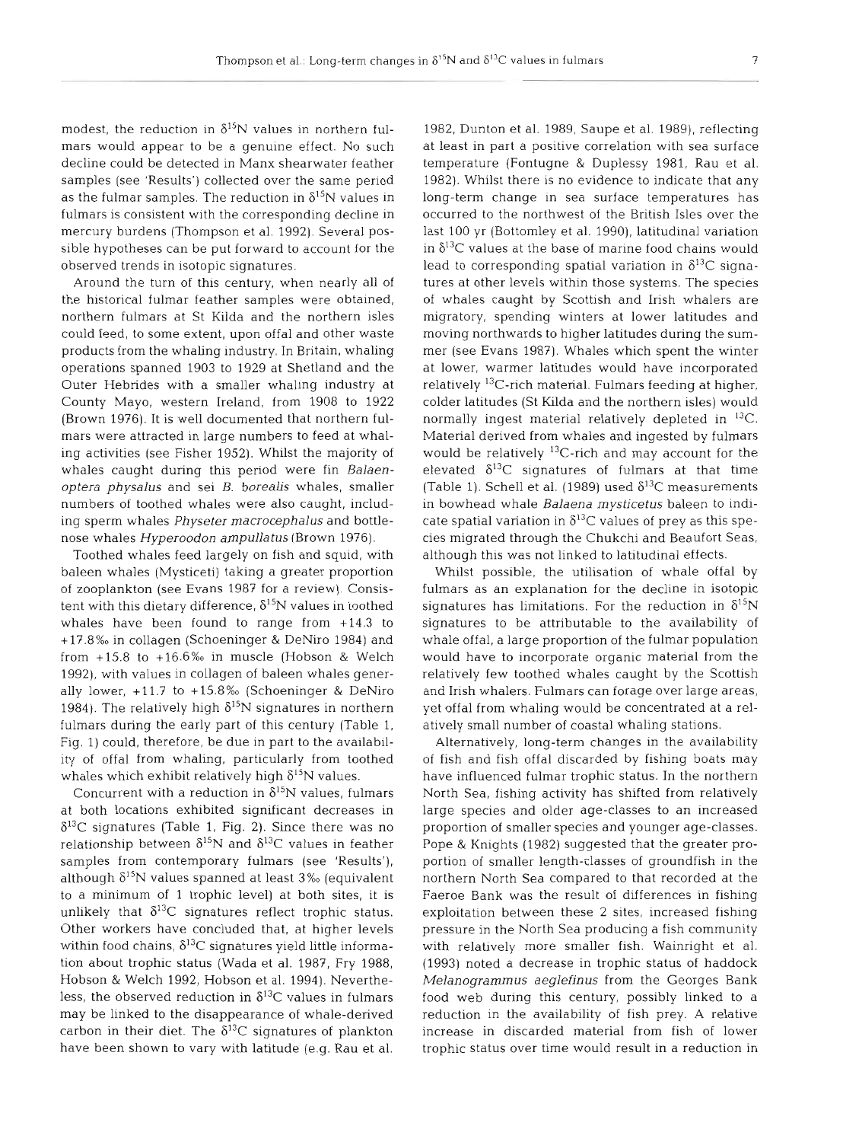modest, the reduction in  $\delta^{15}N$  values in northern fulmars would appear to be a genuine effect. No such decline could be detected in Manx shearwater feather samples (see 'Results') collected over the same period as the fulmar samples. The reduction in  $\delta^{15}N$  values in fulmars is consistent with the corresponding decline in mercury burdens (Thompson et al. 1992). Several possible hypotheses can be put forward to account for the observed trends in isotopic signatures.

Around the turn of this century, when nearly all of the historical fulmar feather samples were obtained, northern fulmars at St Kilda and the northern isles could feed, to some extent, upon offal and other waste products from the whaling industry. In Britain, whaling operations spanned 1903 to 1929 at Shetland and the Outer Hebrides with a smaller whaling industry at County Mayo, western Ireland, from 1908 to 1922 (Brown 1976). It is well documented that northern fulmars were attracted in large numbers to feed at whaling activities (see Fisher 1952). Whilst the majority of whales caught during this period were fin *Balaenoptera physalus* and sei *B. borealis* whales, smaller numbers of toothed whales were also caught, including sperm whales *Physeter macrocephalus* and bottlenose whales *Hyperoodon ampullatus* (Brown 1976).

Toothed whales feed largely on fish and squid, with baleen whales (Mysticeti) taking a greater proportion of zooplankton (see Evans 1987 for a review). Consistent with this dietary difference,  $\delta^{15}$ N values in toothed whales have been found to range from +14.3 to +17.8% in collagen (Schoeninger & DeNiro 1984) and from  $+15.8$  to  $+16.6\%$  in muscle (Hobson & Welch 1992), with values in collagen of baleen whales generally lower, +11.7 to +15.8% (Schoeninger & DeNiro 1984). The relatively high  $\delta^{15}N$  signatures in northern fulmars during the early part of this century (Table 1, Fig. 1) could, therefore, be due in part to the availability of offal from whaling, particularly from toothed whales which exhibit relatively high  $\delta^{15}N$  values.

Concurrent with a reduction in  $\delta^{15}N$  values, fulmars at both locations exhibited significant decreases in  $\delta^{13}$ C signatures (Table 1, Fig. 2). Since there was no relationship between  $\delta^{15}N$  and  $\delta^{13}C$  values in feather samples from contemporary fulmars (see 'Results'), although  $\delta^{15}N$  values spanned at least 3% (equivalent to a minimum of 1 trophic level) at both sites, it is unlikely that  $\delta^{13}C$  signatures reflect trophic status. Other workers have concluded that, at higher levels within food chains,  $\delta^{13}$ C signatures yield little information about trophic status (Wada et al. 1987, Fry 1988, Hobson & Welch 1992, Hobson et al. 1994). Nevertheless, the observed reduction in  $\delta^{13}C$  values in fulmars may be linked to the disappearance of whale-derived carbon in their diet. The  $\delta^{13}$ C signatures of plankton have been shown to vary with latitude (e.g. Rau et al.

1982, Dunton et al. 1989, Saupe et al. 1989), reflecting at least in part a positive correlation with sea surface temperature (Fontugne & Duplessy 1981, Rau et al. 1982). Whilst there is no evidence to indicate that any long-term change in sea surface temperatures has occurred to the northwest of the British Isles over the last 100 yr (Bottomley et al. 1990), latitudinal variation in  $\delta^{13}$ C values at the base of marine food chains would lead to corresponding spatial variation in  $\delta^{13}$ C signatures at other levels within those systems. The species of whales caught by Scottish and Irish whalers are migratory, spending winters at lower latitudes and moving northwards to higher latitudes during the summer (see Evans 1987). Whales which spent the winter at lower, warmer latitudes would have incorporated relatively  $^{13}$ C-rich material. Fulmars feeding at higher, colder latitudes (St Kilda and the northern isles) would normally ingest material relatively depleted in  ${}^{13}C$ . Material derived from whales and ingested by fulmars would be relatively  ${}^{13}$ C-rich and may account for the elevated  $\delta^{13}C$  signatures of fulmars at that time (Table 1). Schell et al. (1989) used  $\delta^{13}$ C measurements in bowhead whale *Balaena mysticetus* baleen to indicate spatial variation in  $\delta^{13}$ C values of prey as this species migrated through the Chukchi and Beaufort Seas, although this was not linked to latitudinal effects.

Whilst possible, the utilisation of whale offal by fulmars as an explanation for the decline in isotopic signatures has limitations. For the reduction in  $\delta^{15}N$ signatures to be attributable to the availability of whale offal, a large proportion of the fulmar population would have to incorporate organic material from the relatively few toothed whales caught by the Scottish and Irish whalers. Fulmars can forage over large areas, yet offal from whaling would be concentrated at a relatively small number of coastal whaling stations.

Alternatively, long-term changes in the availability of fish and fish offal discarded by fishing boats may have influenced fulmar trophic status. In the northern North Sea, fishing activity has shifted from relatively large species and older age-classes to an increased proportion of smaller species and younger age-classes. Pope & Knights (1982) suggested that the greater proportion of smaller length-classes of groundfish in the northern North Sea compared to that recorded at the Faeroe Bank was the result of differences in fishing exploitation between these 2 sites, increased fishing pressure in the North Sea producing a fish community with relatively more smaller fish. Wainright et al. (1993) noted a decrease in trophic status of haddock *Melanogrammus aeglefinus* from the Georges Bank food web during this century, possibly linked to a reduction in the availability of fish prey. A relative increase in discarded material from fish of lower trophic status over time would result in a reduction in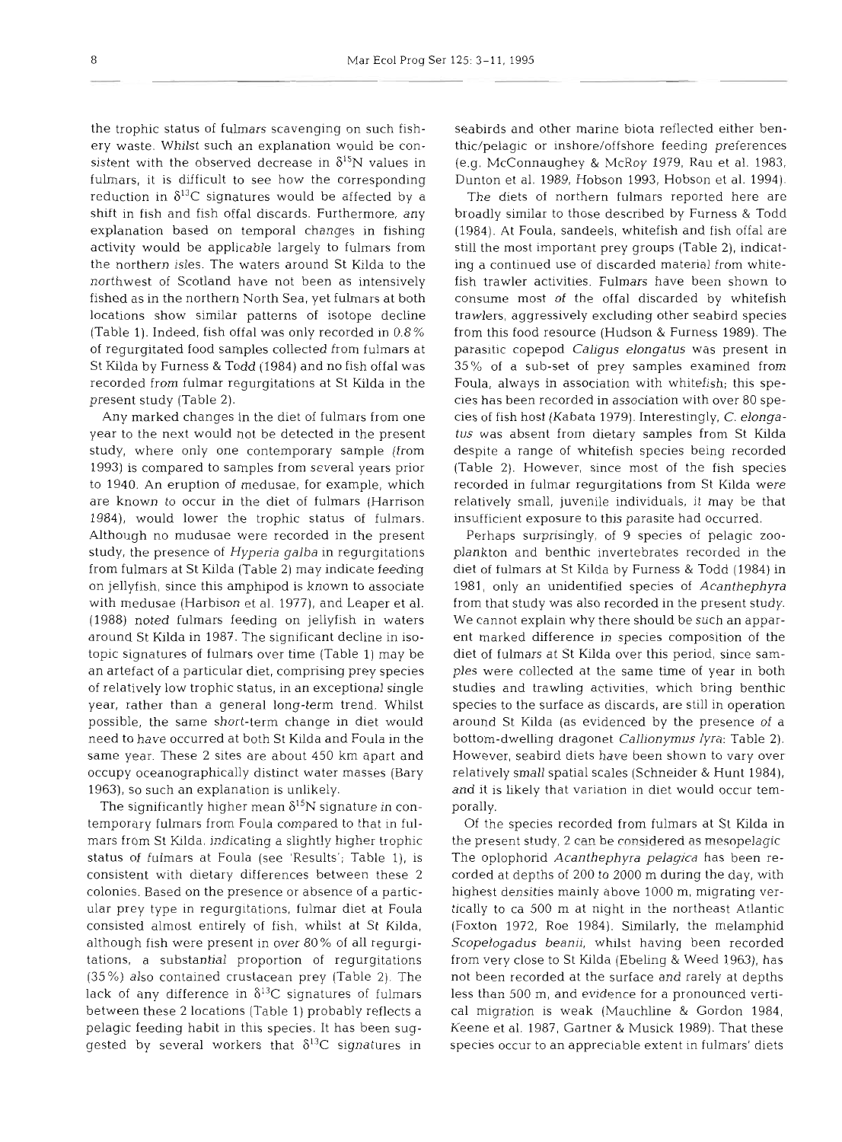the trophic status of fulmars scavenging on such fishery waste. Whilst such an explanation would be consistent with the observed decrease in  $\delta^{15}N$  values in fulmars, it is difficult to see how the corresponding reduction in  $\delta^{13}$ C signatures would be affected by a shift in fish and fish offal discards. Furthermore, any explanation based on temporal changes in fishing activity would be applicable largely to fulmars from the northern isles. The waters around St Kilda to the northwest of Scotland have not been as intensively fished as in the northern North Sea, yet fulmars at both locations show similar patterns of isotope decline (Table 1). Indeed, fish offal was only recorded in 0.8 % of regurgitated food samples collected from fulmars at St Kilda by Furness & Todd (1984) and no fish offal was recorded from fulmar regurgitations at St Kilda in the present study (Table 2).

Any marked changes in the diet of fulmars from one year to the next would not be detected in the present study, where only one contemporary sample (from 1993) is compared to samples from several years prior to 1940. An eruption of medusae, for example, which are known to occur in the diet of fulmars (Harrison 1984), would lower the trophic status of fulmars. Although no mudusae were recorded in the present study, the presence of Hyperia galba in regurgitations from fulmars at St Kilda (Table **2)** may indicate feeding on jellyfish, since this amphipod is known to associate with medusae (Harbison et al. 1977), and Leaper et al. (1988) noted fulmars feeding on jellyfish in waters around St Kilda in 1987. The significant decline in isotopic signatures of fulmars over time (Table 1) may be an artefact of a particular diet, comprising prey species of relatively low trophic status, in an exceptional single year, rather than a general long-term trend. Whilst possible, the same short-term change in diet would need to have occurred at both St Kilda and Foula in the same year. These 2 sites are about 450 km apart and occupy oceanographically distinct water masses (Bary 1963), so such an explanation is unlikely.

The significantly higher mean  $\delta^{15}N$  signature in contemporary fulmars from Foula compared to that in fulmars from St Kilda, indicating a slightly higher trophic status of fulmars at Foula (see 'Results'; Table 1), is consistent with dietary differences between these **2**  colonies. Based on the presence or absence of a particular prey type in regurgitations, fulmar diet at Foula consisted almost entirely of fish, whilst at St Kilda, although fish were present in over 80% of all regurgitations, a substantial proportion of regurgitations (35%) also contained crustacean prey (Table 2). The lack of any difference in  $\delta^{13}$ C signatures of fulmars between these 2 locations (Table l) probably reflects a pelagic feeding habit in this species. It has been suggested by several workers that  $\delta^{13}$ C signatures in

seabirds and other marine biota reflected either benthic/pelagic or inshore/offshore feeding preferences (e.g. McConnaughey & McRoy 1979, Rau et al. 1983, Dunton et al. 1989, Hobson 1993, Hobson et al. 1994).

The diets of northern fulmars reported here are broadly similar to those described by Furness & Todd (1984). At Foula, sandeels, whitefish and fish offal are still the most important prey groups (Table 2), indicating a continued use of discarded material from whitefish trawler activities. Fulmars have been shown to consume most of the offal discarded by whitefish trawlers, aggressively excluding other seabird species from this food resource (Hudson & Furness 1989). The parasitic copepod Caligus elongatus was present in 35% of a sub-set of prey samples examined from Foula, always in association with whitefish; this species has been recorded in association with over 80 species of fish host (Kabata 1979). Interestingly, C. elongatus was absent from dietary samples from St Kilda despite a range of whitefish species being recorded (Table 2). However, since most of the fish species recorded in fulmar regurgitations from St Kilda were relatively small, juvenile individuals, it may be that insufficient exposure to this parasite had occurred.

Perhaps surprisingly, of 9 species of pelagic zooplankton and benthic invertebrates recorded in the diet of fulmars at St Kilda by Furness & Todd (1984) in 1981, only an unidentified species of Acanthephyra from that study was also recorded in the present study. We cannot explain why there should be such an apparent marked difference in species composition of the diet of fulmars at St Kilda over this period, since samples were collected at the same time of year in both studies and trawling activities, which bring benthic species to the surface as discards, are still in operation around St Kilda (as evidenced by the presence of a bottom-dwelling dragonet Callionymus lyra: Table 2). However, seabird diets have been shown to vary over relatively small spatial scales (Schneider & Hunt **1984),**  and it is likely that variation in diet would occur temporally.

Of the species recorded from fulmars at St Kilda in the present study, 2 can be considered as mesopelagic The oplophorid Acanthephyra pelagica has been recorded at depths of 200 to 2000 m during the day, with highest densities mainly above 1000 m, migrating vertically to ca 500 m at night in the northeast Atlantic (Foxton 1972, Roe 1984). Similarly, the melamphid Scopelogadus beanii, whilst having been recorded from very close to St Kilda (Ebeling & Weed 1963), has not been recorded at the surface and rarely at depths less than 500 m, and evidence for a pronounced vertical migration is weak (Mauchline & Gordon 1984, Keene et al. 1987, Gartner & Muslck 1989). That these species occur to an appreciable extent in fulmars' diets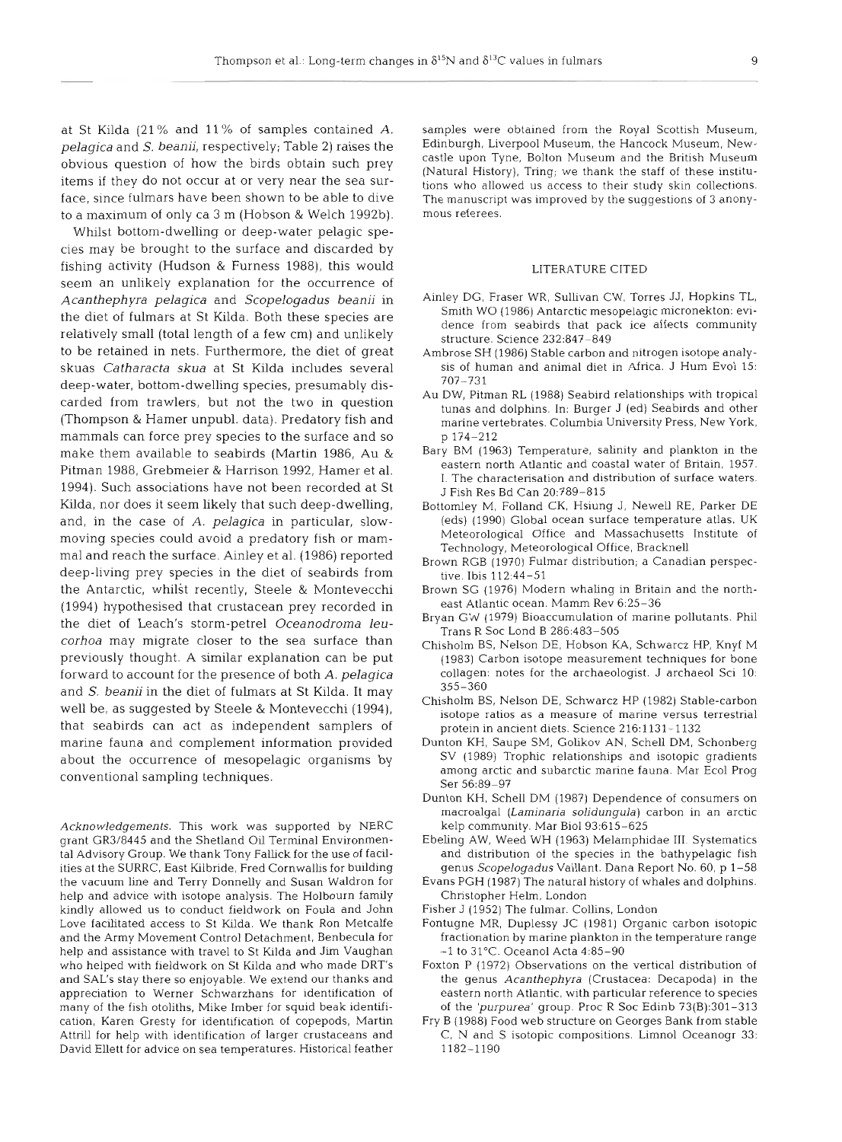at St Kilda (21 % and 11% of samples contained A. *pelagjca* and *S. beanii,* respectively; Table *2)* raises the obvious question of how the birds obtain such prey items if they do not occur at or very near the sea surface, since fulmars have been shown to be able to dive to a maximum of only ca 3 m (Hobson & Welch 1992b).

Whilst bottom-dwelling or deep-water pelagic species may be brought to the surface and discarded by fishing activity (Hudson & Furness 1988), this would seem an unlikely explanation for the occurrence of *Acanthephyra pelagica* and *Scopelogadus beanii* in the diet of fulmars at St Kilda. Both these species are relatively small (total length of a few cm) and unlikely to be retained in nets. Furthermore, the diet of great skuas *Catharacta skua* at St Kilda includes several deep-water, bottom-dwelling species, presumably discarded from trawlers, but not the two in question (Thompson & Hamer unpubl. data). Predatory fish and mammals can force prey species to the surface and so make them available to seabirds (Martin 1986, Au & Pitman 1988, Grebmeier & Harrison 1992, Hamer et al. 1994). Such associations have not been recorded at St Kilda, nor does it seem likely that such deep-dwelling, and, in the case of *A, pelagica* in particular, slowmoving species could avoid a predatory fish or mammal and reach the surface. Ainley et al. (1986) reported deep-living prey species in the diet of seabirds from the Antarctic, whilst recently, Steele & Montevecchi (1994) hypothesised that crustacean prey recorded in the diet of Leach's storm-petrel *Oceanodroma leucorhoa* may migrate closer to the sea surface than previously thought. A similar explanation can be put forward to account for the presence of both A. *pelagica*  and *S. beanii* in the diet of fulmars at St Kilda. It may well be, as suggested by Steele & Montevecchi (1994), that seabirds can act as independent samplers of marine fauna and complement information provided about the occurrence of mesopelagic organisms by conventional sampling techniques.

Acknowledgements. This work was supported by NERC grant GR3/8445 and the Shetland Oil Terminal Environmental Advisory Group. We thank Tony Fallick for the use of facdities at the SURRC, East Kilbride, Fred Cornwallis for building the vacuum line and Terry Donnelly and Susan Waldron for help and advice with isotope analysis. The Holbourn family kindly allowed us to conduct fieldwork on Foula and John Love facilitated access to St Kilda. We thank Ron Metcalfe and the Army Movement Control Detachment, Benbecula for help and assistance with travel to St Kilda and Jim Vaughan who helped with fieldwork on St Kilda and who made DRT's and SAL'S stay there so enjoyable. We extend our thanks and appreciation to Werner Schwarzhans for identification of many of the fish otoliths, Mike Imber for squid beak identification, Karen Gresty for identification of copepods. Martin Attrill for help with identification of larger crustaceans and David Ellett for advice on sea temperatures. Historical feather

samples were obtained from the Royal Scottish Museum, Edinburgh, Liverpool Museum, the Hancock Museum, Newcastle upon Tyne, Bolton Museum and the British Museum (Natural History), Tring; we thank the staff of these institutions who allowed us access to their study skin collections. The manuscript was improved by the suggestions of 3 anonymous referees.

#### LITERATURE CITED

- Ainley DG, Fraser WR, Sullivan CW, Torres JJ, Hopkins TL, Smith WO (1986) Antarctic mesopelagic micronekton: evidence from seabirds that pack ice affects community structure. Science 232:847-849
- Ambrose SH (1986) Stable carbon and nitrogen isotope analysis of human and animal diet in Africa. J Hum Evol 15: 707-731
- Au DW, Pitman RL (1988) Seabird relationships with tropical tunas and dolphins. In: Burger J (ed) Seabirds and other marine vertebrates. Columbia University Press. New York, p 174-212
- Bary BM (1963) Temperature, salinity and plankton in the eastern north Atlantic and coastal water of Britain, 1957. I. The characterisation and distribution of surface waters. J Fish Res Bd Can 20:789-815
- Bottomley M, Folland CK, Hsiung J, Newell RE, Parker DE (eds) (1990) Global ocean surface temperature atlas. UK Meteorological Office and Massachusetts Institute of Technology, Meteorological Office, Bracknell
- Brown RGB (1970) Fulmar distribution, a Canadian perspective. Ibis  $112:44-51$
- Brown SG (1976) Modern whaling in Britain and the northeast Atlantic ocean. Mamm Rev 6:25-36
- Bryan GW (1979) Bioaccumulation of marine pollutants. Phil Trans R Soc Lond B 286:483-505
- Chisholm BS, Nelson DE, Hobson **KA,** Schwarcz HP, Knyf M (1983) Carbon isotope measurement techniques for bone collagen: notes for the archaeologist. J archaeol Sci 10: 355-360
- Chisholm BS, Nelson DE, Schwarcz HP (1982) Stable-carbon isotope ratios as a measure of marine versus terrestrial protein in ancient diets. Science 216:1131-1132
- Dunton KH, Saupe SM, Golikov AN, Schell DM, Schonberg SV (1989) Trophic relationships and isotopic gradients among arctic and subarctic marine fauna. Mar Ecol Prog Ser 56:89-97
- Dunton KH, Schell DM (1987) Dependence of consumers on macroalgal (Laminaria solidungula) carbon in an arctic kelp community. Mar Biol 93:615-625
- Ebeling AW, Weed WH (1963) Melamphidae III. Systematics and distribution of the species in the bathypelagic fish genus Scopelogadus Vaillant. Dana Report No. 60, p 1-58
- Evans PGH (1987) The natural history of whales and dolphins. Christopher Helm, London
- Fisher J (1952) The fulmar. Collins. London
- Fontugne MR, Duplessy JC (1981) Organic carbon isotopic fractionation by marine plankton in the temperature range  $-1$  to 31 $^{\circ}$ C. Oceanol Acta 4:85-90
- Foxton P (1972) Observations on the vertical distribution of the genus Acanthephyra (Crustacea: Decapoda) in the eastern north Atlantic, with particular reference to species of the 'purpurea' group. Proc R Soc Edinb 73(B):301-313
- Fry B (1988) Food web structure on Georges Bank from stable C. N and S isotopic compositions. Limnol Oceanogr 33: 1182-1190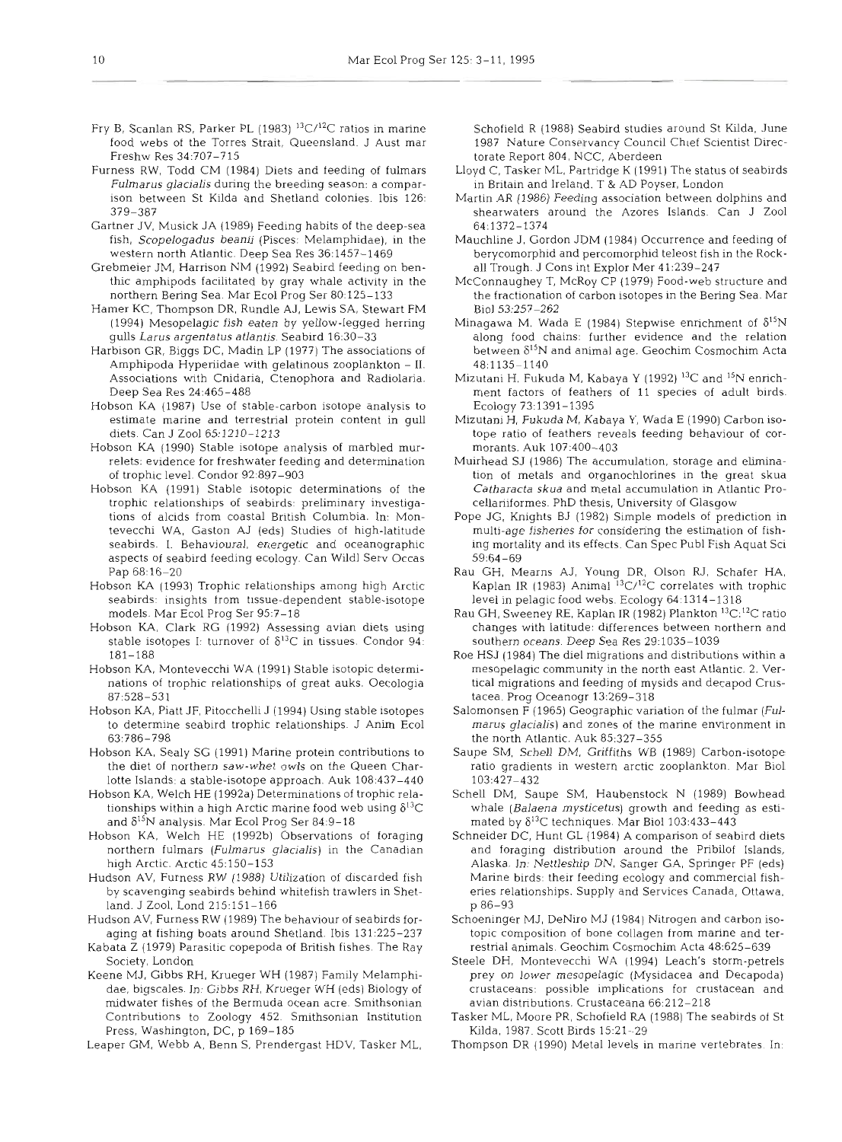- Fry B, Scanlan RS, Parker PL (1983)  $^{13}C/^{12}C$  ratios in marine food webs of the Torres Strait, Queensland. J Aust mar Freshw Res 34:70?-715
- Furness RW, Todd CM (1984) Diets and feeding of fulmars Fulmarus glacialis during the breeding season: a comparison between St Kilda and Shetland colonies. Ibis 126: 379-387
- Gartner JV, Musick JA (1989) Feeding habits of the deep-sea fish, Scopelogadus beanii (Pisces: Melamphidae), in the western north Atlantic. Deep Sea Res 36:1457-1469
- Grebmeier JM, Harrison NM (1992) Seabird feeding on benthic amphipods facilitated by gray whale activity in the northern Bering Sea. Mar Ecol Prog Ser 80:125-133
- Hamer KC, Thompson DR, Rundle AJ, Lewis SA, Stewart FM (1994) Mesopelagic fish eaten by yellow-legged herring gulls Larus argentatus atlantis. Seabird 16:30-33
- Harbison GR. Biggs DC. Madin LP (1977) The associations of Amphipoda Hyperiidae with gelatinous zooplankton - 11. Associations with Cnidaria. Ctenophora and Radiolaria. Deep Sea Res 24:465-488
- Hobson KA (1987) Use of stable-carbon isotope analysis to estimate marine and terrestrial protein content in gull diets. Can J Zool 65:1210-1213
- Hobson KA (1990) Stable isotope analysis of marbled murrelets: evidence for freshwater feeding and determination of trophic level. Condor 92:897-903
- Hobson KA (1991) Stable isotopic determinations of the trophic relationships of seabirds: preliminary investigations of alcids from coastal British Columbia. In: Montevecchi WA, Gaston AJ (eds) Studies of high-latitude seabirds. I. Behavioural, energetic and oceanographic aspects of seabird feeding ecology. Can Wild1 Serv Occas Pap 68:16-20
- Hobson KA (1993) Trophic relationships among high Arctic seabirds: insights from tissue-dependent stable-isotope models. Mar Ecol Prog Ser 95:7-l8
- Hobson KA, Clark RG (1992) Assessing avian diets using stable isotopes I: turnover of  $\delta^{13}C$  in tissues. Condor 94: 181-188
- Hobson KA, Montevecchi WA (1991) Stable isotopic determinations of trophic relationships of great auks. Oecologia 87:528-531
- Hobson KA, Piatt JF, Pitocchelli J (1994) Using stable isotopes to determine seabird trophic relationships. J Anim Ecol 63:786-798
- Hobson **KA,** Sealy SG (1991) Marine protein contributions to the diet of northern saw-whet owls on the Queen Charlotte Islands: a stable-isotope approach. Auk 108:43?-440
- Hobson KA. Welch HE (1992a) Deterrninations of trophic relationships within a high Arctic marine food web using  $\delta^{13}C$ and  $\delta^{15}N$  analysis. Mar Ecol Prog Ser 84:9-18
- Hobson KA, Welch HE (1992b) Observations of foraging northern fulmars (Fulmarus glacialis) in the Canadian high Arctic. Arctic 45:150-153
- Hudson AV, Furness RW (1988) Utilization of discarded fish by scavenging seabirds behind whitefish trawlers in Shetland. J Zool, Lond 215:151-166
- Hudson AV, Furness RW (1989) The behaviour of seabirds foraging at fishing boats around Shetland. Ibis 131:225-237
- Kabata Z (1979) Parasitic copepoda of British fishes. The Ray Society, London
- Keene MJ. Gibbs RH, Krueger WH (1987) Famlly Melamphidae, bigscales. In: Gibbs RH, Krueger WH (eds) Biology of midwater fishes of the Bermuda ocean acre. Smithsonian Contributions to Zoology 452. Smithsonian Institution Press, Washington, DC, p 169-185
- Leaper GM, Webb A, Benn S. Prendergast HDV, Tasker ML,

Schofield R (1988) Seabird studies around St Kilda, June 1987 Nature Conservancy Council Chief Scientist Directorate Report 804, NCC, Aberdeen

- Lloyd C, Tasker ML, Partridge K (1991) The status of seabirds in Britain and Ireland. T & AD Poyser, London
- Martin AR (1986) Feeding association between dolphins and shearwaters around the Azores Islands. Can J Zool 64:1372-1374
- Mauchline J, Gordon JDM (1984) Occurrence and feeding of berycomorphid and percomorphid teleost fish in the Rockall Trough. J Cons int Explor Mer 41:239-247
- McConnaughey T, McRoy CP (1979) Food-web structure and the fractionation of carbon isotopes in the Bering Sea. Mar Biol 53:257-262
- Minagawa M, Wada E (1984) Stepwise enrichment of  $\delta^{15}N$ along food chains: further evidence and the relation between **SL5N** and animal age. Geochim Cosmochim Acta 48:1135-1240
- Mizutani H. Fukuda M. Kabaya Y (1992) <sup>13</sup>C and <sup>15</sup>N enrichment factors of feathers of 11 species of adult birds. Ecology 73:1391-1395
- Mizutani H, Fukuda M, Kabaya Y, Wada E (1990) Carbon isotope ratio of feathers reveals feeding behaviour of cormorants. Auk 107:400-403
- Muirhead SJ (1986) The accumulation, storage and elimination of metals and organochlorines in the great skua Catharacta skua and metal accumulation in Atlantic Procellariiformes. PhD thesis, University of Glasgow
- Pope JG, Knights BJ (1982) Simple models of prediction in multi-age fisheries for considering the estimation of fishing mortality and its effects. Can Spec Pub1 Fish Aquat Sci 59:64-69
- Rau GH, Mearns AJ, Young DR, Olson RJ, Schafer HA, Kaplan IR (1983) Animal  ${}^{13}C/{}^{12}C$  correlates with trophic level in pelagic food webs. Ecology 64: 1314-13 18
- Rau GH, Sweeney RE, Kaplan IR (1982) Plankton <sup>13</sup>C:<sup>12</sup>C ratio changes with latitude: differences between northern and southern oceans. Deep Sea Res 29:1035-1039
- Roe HSJ (1984) The die1 migrations and distributions within a mesopelagic community in the north east Atlantic. 2. Vertical migrations and feeding of mysids and decapod Crustacea. Prog Oceanogr 13:269-318
- Salomonsen F (1965) Geographic variation of the fulmar (Fulmarus glacialis) and zones of the marine environment in the north Atlantic. Auk 85:327-355
- Saupe SM, Schell DM, Griffiths WB (1989) Carbon-isotope ratio gradients in western arctic zooplankton. Mar Biol 103:427-432
- Schell DM, Saupe SM, Haubenstock N (1989) Bowhead whale (Balaena mysticetus) growth and feeding as estimated by  $\delta^{13}$ C techniques. Mar Biol 103:433-443
- Schneider DC, Hunt GL (1984) A comparison of seabird diets and foraging distribution around the Pribilof Islands, Alaska. In: Nettleship DN, Sanger GA, Springer PF (eds) Marine birds: their feeding ecology and commercial fisheries relationships. Supply and Services Canada, Ottawa, p 86-93
- Schoeninger MJ, DeNiro MJ (1984) Nitrogen and carbon isotopic composition of bone collagen from marine and terrestrial animals. Geochim Cosmochim Acta 48:625-639
- Steele DH, Montevecchi WA (1994) Leach's storm-petrels prey on lower mesopelagic (Mysidacea and Decapoda) crustaceans: possible implications for crustacean and avian distributions. Crustaceana 66:212-218
- Tasker ML, Moore PR, Schofield RA (1988) The seabirds of St K11da. 1987. Scott Birds 1521-29
- Thompson DR (1990) Metal levels in marine vertebrates. In: